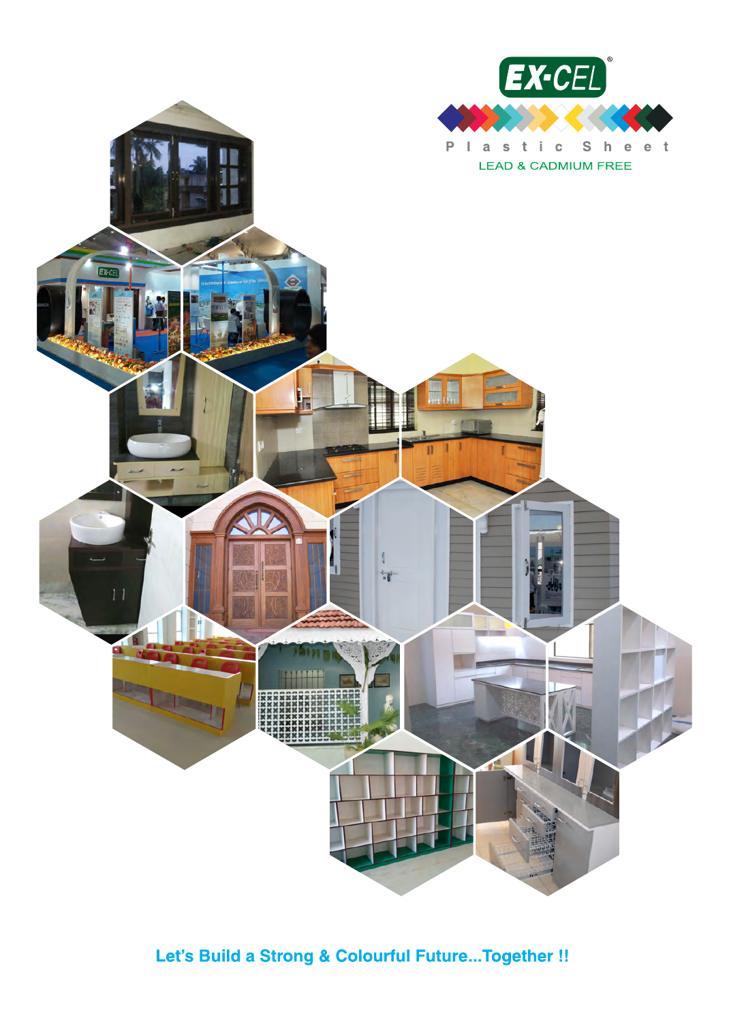

## Let's Build a Strong & Colourful Future...Together !!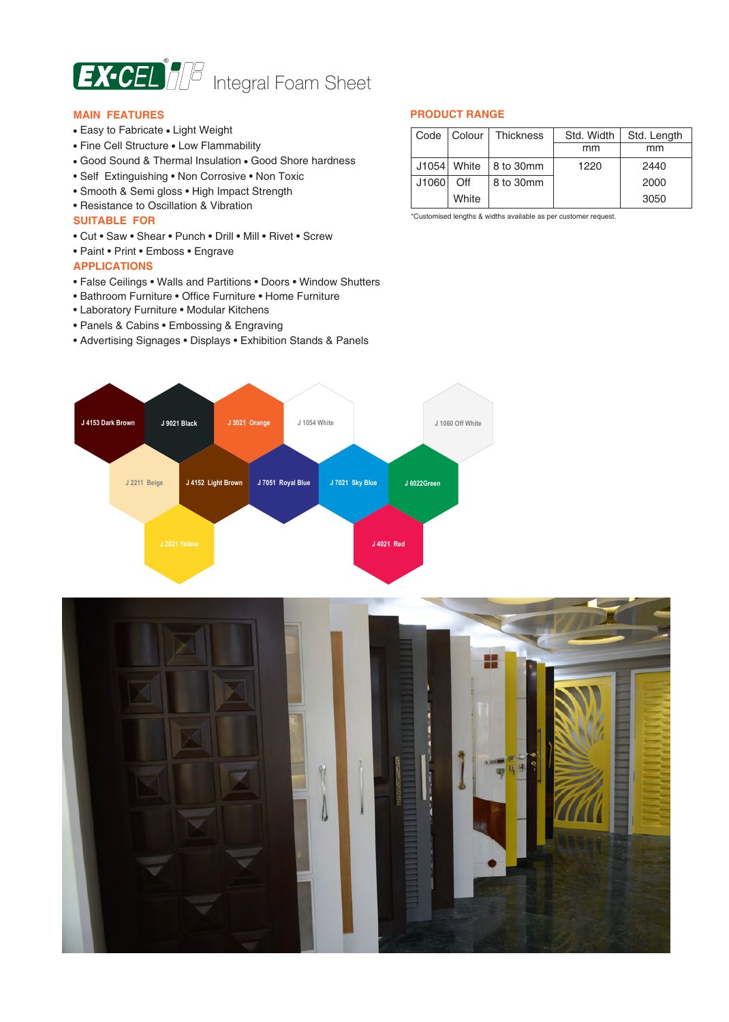

#### **MAIN FEATURES**

- Easy to Fabricate Light Weight
- Fine Cell Structure Low Flammability
- Good Sound & Thermal Insulation Good Shore hardness
- Self Extinguishing Non Corrosive Non Toxic
- Smooth & Semi gloss High Impact Strength
- Resistance to Oscillation & Vibration

#### **SUITABLE FOR**

- Cut Saw Shear Punch Drill Mill Rivet Screw
- Paint Print Emboss Engrave

#### **APPLICATIONS**

- False Ceilings Walls and Partitions Doors Window Shutters
- Bathroom Furniture Office Furniture Home Furniture
- Laboratory Furniture Modular Kitchens
- Panels & Cabins Embossing & Engraving
- Advertising Signages Displays Exhibition Stands & Panels

#### **PRODUCT RANGE**

| Code  | Colour      | <b>Thickness</b> | Std. Width | Std. Length |
|-------|-------------|------------------|------------|-------------|
|       |             |                  | mm         | mm          |
|       | J1054 White | 8 to 30mm        | 1220       | 2440        |
| J1060 | Off         | 8 to 30mm        |            | 2000        |
|       | White       |                  |            | 3050        |

\*Customised lengths & widths available as per customer request.